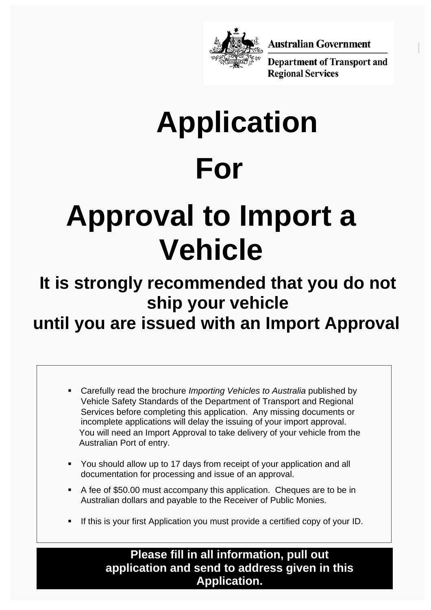

**Australian Government** 

**Department of Transport and Regional Services** 

# **For Application**

## **Approval to Import a Vehicle**

## **It is strongly recommended that you do not ship your vehicle**

### **until you are issued with an Import Approval**

- Carefully read the brochure *Importing Vehicles to Australia* published by Vehicle Safety Standards of the Department of Transport and Regional Services before completing this application. Any missing documents or incomplete applications will delay the issuing of your import approval. You will need an Import Approval to take delivery of your vehicle from the Australian Port of entry.
- You should allow up to 17 days from receipt of your application and all documentation for processing and issue of an approval.
- A fee of \$50.00 must accompany this application. Cheques are to be in Australian dollars and payable to the Receiver of Public Monies.
- If this is your first Application you must provide a certified copy of your ID.

**Please fill in all information, pull out application and send to address given in this Application.**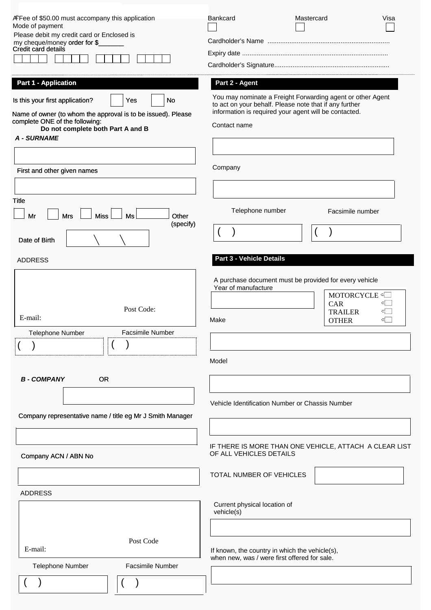| ÆFee of \$50.00 must accompany this application<br>Mode of payment<br>Please debit my credit card or Enclosed is<br>my cheque/money order for \$<br>Credit card details                                   | <b>Bankcard</b>                                                                                                                                                                               | Mastercard<br>Visa                                       |
|-----------------------------------------------------------------------------------------------------------------------------------------------------------------------------------------------------------|-----------------------------------------------------------------------------------------------------------------------------------------------------------------------------------------------|----------------------------------------------------------|
| <b>Part 1 - Application</b>                                                                                                                                                                               | Part 2 - Agent                                                                                                                                                                                |                                                          |
| Is this your first application?<br>No<br>Yes<br>Name of owner (to whom the approval is to be issued). Please<br>complete ONE of the following:<br>Do not complete both Part A and B<br><b>A - SURNAME</b> | You may nominate a Freight Forwarding agent or other Agent<br>to act on your behalf. Please note that if any further<br>information is required your agent will be contacted.<br>Contact name |                                                          |
| First and other given names                                                                                                                                                                               | Company                                                                                                                                                                                       |                                                          |
|                                                                                                                                                                                                           |                                                                                                                                                                                               |                                                          |
| <b>Title</b><br>Ms<br>Other                                                                                                                                                                               | Telephone number                                                                                                                                                                              | Facsimile number                                         |
| <b>Miss</b><br>Mr<br><b>Mrs</b><br>(specify)<br>Date of Birth                                                                                                                                             |                                                                                                                                                                                               |                                                          |
| <b>ADDRESS</b>                                                                                                                                                                                            | <b>Part 3 - Vehicle Details</b>                                                                                                                                                               |                                                          |
| Post Code:<br>E-mail:<br><b>Facsimile Number</b><br><b>Telephone Number</b>                                                                                                                               | A purchase document must be provided for every vehicle<br>Year of manufacture<br>Make<br>Model                                                                                                | MOTORCYCLE<br>CAR<br><b>TRAILER</b><br>⊄<br><b>OTHER</b> |
| <b>B-COMPANY</b><br><b>OR</b><br>Company representative name / title eg Mr J Smith Manager                                                                                                                | Vehicle Identification Number or Chassis Number                                                                                                                                               |                                                          |
| Company ACN / ABN No                                                                                                                                                                                      | OF ALL VEHICLES DETAILS                                                                                                                                                                       | IF THERE IS MORE THAN ONE VEHICLE, ATTACH A CLEAR LIST   |
|                                                                                                                                                                                                           | TOTAL NUMBER OF VEHICLES                                                                                                                                                                      |                                                          |
| <b>ADDRESS</b>                                                                                                                                                                                            |                                                                                                                                                                                               |                                                          |
|                                                                                                                                                                                                           | Current physical location of<br>vehicle(s)                                                                                                                                                    |                                                          |
| Post Code<br>E-mail:                                                                                                                                                                                      | If known, the country in which the vehicle(s),<br>when new, was / were first offered for sale.                                                                                                |                                                          |
| <b>Facsimile Number</b><br><b>Telephone Number</b>                                                                                                                                                        |                                                                                                                                                                                               |                                                          |
|                                                                                                                                                                                                           |                                                                                                                                                                                               |                                                          |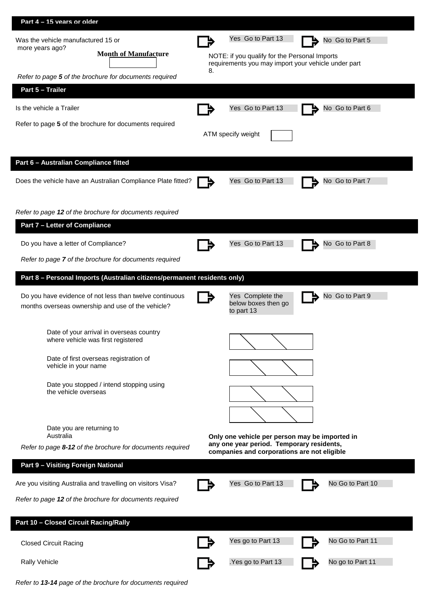| Part 4 - 15 vears or older                            |                                                                          |    |                                                                                                                                            |                  |
|-------------------------------------------------------|--------------------------------------------------------------------------|----|--------------------------------------------------------------------------------------------------------------------------------------------|------------------|
| Was the vehicle manufactured 15 or<br>more years ago? |                                                                          |    | Yes Go to Part 13                                                                                                                          | No Go to Part 5  |
|                                                       | <b>Month of Manufacture</b>                                              |    | NOTE: if you qualify for the Personal Imports<br>requirements you may import your vehicle under part                                       |                  |
|                                                       | Refer to page 5 of the brochure for documents required                   | 8. |                                                                                                                                            |                  |
| Part 5 - Trailer                                      |                                                                          |    |                                                                                                                                            |                  |
| Is the vehicle a Trailer                              |                                                                          |    | Yes Go to Part 13                                                                                                                          | No Go to Part 6  |
|                                                       | Refer to page 5 of the brochure for documents required                   |    |                                                                                                                                            |                  |
|                                                       |                                                                          |    | ATM specify weight                                                                                                                         |                  |
| Part 6 - Australian Compliance fitted                 |                                                                          |    |                                                                                                                                            |                  |
|                                                       | Does the vehicle have an Australian Compliance Plate fitted?             |    | Yes Go to Part 13                                                                                                                          | No Go to Part 7  |
|                                                       |                                                                          |    |                                                                                                                                            |                  |
|                                                       | Refer to page 12 of the brochure for documents required                  |    |                                                                                                                                            |                  |
| <b>Part 7 - Letter of Compliance</b>                  |                                                                          |    |                                                                                                                                            |                  |
| Do you have a letter of Compliance?                   |                                                                          |    | Yes Go to Part 13                                                                                                                          | No Go to Part 8  |
|                                                       | Refer to page 7 of the brochure for documents required                   |    |                                                                                                                                            |                  |
|                                                       | Part 8 - Personal Imports (Australian citizens/permanent residents only) |    |                                                                                                                                            |                  |
|                                                       | Do you have evidence of not less than twelve continuous                  |    | Yes Complete the                                                                                                                           | No Go to Part 9  |
|                                                       | months overseas ownership and use of the vehicle?                        |    | below boxes then go<br>to part 13                                                                                                          |                  |
|                                                       | Date of your arrival in overseas country                                 |    |                                                                                                                                            |                  |
|                                                       | where vehicle was first registered                                       |    |                                                                                                                                            |                  |
| vehicle in your name                                  | Date of first overseas registration of                                   |    |                                                                                                                                            |                  |
|                                                       | Date you stopped / intend stopping using                                 |    |                                                                                                                                            |                  |
| the vehicle overseas                                  |                                                                          |    |                                                                                                                                            |                  |
|                                                       |                                                                          |    |                                                                                                                                            |                  |
|                                                       | Date you are returning to                                                |    |                                                                                                                                            |                  |
| Australia                                             | Refer to page 8-12 of the brochure for documents required                |    | Only one vehicle per person may be imported in<br>any one year period. Temporary residents,<br>companies and corporations are not eligible |                  |
| Part 9 - Visiting Foreign National                    |                                                                          |    |                                                                                                                                            |                  |
|                                                       | Are you visiting Australia and travelling on visitors Visa?              |    | Yes Go to Part 13                                                                                                                          | No Go to Part 10 |
|                                                       | Refer to page 12 of the brochure for documents required                  |    |                                                                                                                                            |                  |
| Part 10 - Closed Circuit Racing/Rally                 |                                                                          |    |                                                                                                                                            |                  |
|                                                       |                                                                          |    | Yes go to Part 13                                                                                                                          | No Go to Part 11 |
| <b>Closed Circuit Racing</b>                          |                                                                          |    |                                                                                                                                            |                  |
| <b>Rally Vehicle</b>                                  |                                                                          |    | Yes go to Part 13                                                                                                                          | No go to Part 11 |
|                                                       |                                                                          |    |                                                                                                                                            |                  |

*Refer to 13-14 page of the brochure for documents required*